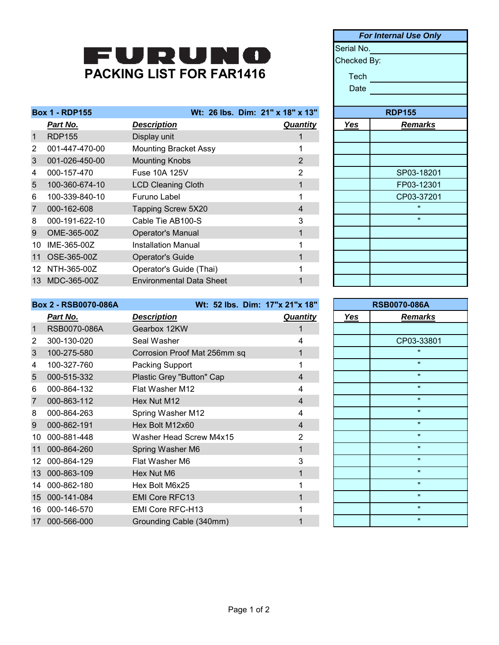## PACKING LIST FOR FAR1416

| <b>Box 1 - RDP155</b> |                |                                 | Wt: 26 lbs. Dim: 21" x 18" x 13" |            | <b>RDP155</b>  |
|-----------------------|----------------|---------------------------------|----------------------------------|------------|----------------|
|                       | Part No.       | <b>Description</b>              | <b>Quantity</b>                  | <u>Yes</u> | <b>Remarks</b> |
| $\mathbf{1}$          | <b>RDP155</b>  | Display unit                    |                                  |            |                |
| $\overline{2}$        | 001-447-470-00 | <b>Mounting Bracket Assy</b>    |                                  |            |                |
| 3                     | 001-026-450-00 | <b>Mounting Knobs</b>           | 2                                |            |                |
| 4                     | 000-157-470    | Fuse 10A 125V                   | 2                                |            | SP03-18201     |
| 5                     | 100-360-674-10 | <b>LCD Cleaning Cloth</b>       |                                  |            | FP03-12301     |
| 6                     | 100-339-840-10 | Furuno Label                    |                                  |            | CP03-37201     |
| $\overline{7}$        | 000-162-608    | Tapping Screw 5X20              | 4                                |            | $\mathbf{H}$   |
| 8                     | 000-191-622-10 | Cable Tie AB100-S               | 3                                |            | $\mathbf{u}$   |
| 9                     | OME-365-00Z    | <b>Operator's Manual</b>        |                                  |            |                |
| 10                    | IME-365-00Z    | <b>Installation Manual</b>      |                                  |            |                |
| 11                    | OSE-365-00Z    | <b>Operator's Guide</b>         |                                  |            |                |
| 12.                   | NTH-365-00Z    | Operator's Guide (Thai)         |                                  |            |                |
| 13                    | MDC-365-00Z    | <b>Environmental Data Sheet</b> |                                  |            |                |
|                       |                |                                 |                                  |            |                |

|            | <b>For Internal Use Only</b> |  |  |
|------------|------------------------------|--|--|
|            | Serial No.                   |  |  |
|            | Checked By:                  |  |  |
| Tech       |                              |  |  |
| Date       |                              |  |  |
|            |                              |  |  |
|            | <b>RDP155</b>                |  |  |
| <b>Yes</b> | <b>Remarks</b>               |  |  |
|            |                              |  |  |
|            |                              |  |  |
|            |                              |  |  |
|            | SP03-18201                   |  |  |
|            | FP03-12301                   |  |  |
|            | CP03-37201                   |  |  |
|            | $\blacksquare$               |  |  |
|            | $\blacksquare$               |  |  |
|            |                              |  |  |
|            |                              |  |  |
|            |                              |  |  |
|            |                              |  |  |
|            |                              |  |  |

| <b>Box 2 - RSB0070-086A</b> |              | Wt: 52 lbs. Dim: 17"x 21"x 18" |                 | <b>RSB0070-086A</b> |                    |
|-----------------------------|--------------|--------------------------------|-----------------|---------------------|--------------------|
|                             | Part No.     | <b>Description</b>             | <b>Quantity</b> | <b>Yes</b>          | <b>Remarks</b>     |
| $\mathbf 1$                 | RSB0070-086A | Gearbox 12KW                   |                 |                     |                    |
| 2                           | 300-130-020  | Seal Washer                    | 4               |                     | CP03-33801         |
| 3                           | 100-275-580  | Corrosion Proof Mat 256mm sq   |                 |                     | $\mathbf{u}$       |
| 4                           | 100-327-760  | Packing Support                |                 |                     | $\mathbf{u}$       |
| 5                           | 000-515-332  | Plastic Grey "Button" Cap      | $\overline{4}$  |                     | $\mathbf{u}$       |
| 6                           | 000-864-132  | Flat Washer M12                | 4               |                     | $\mathbf{u}$       |
| 7                           | 000-863-112  | Hex Nut M12                    | $\overline{4}$  |                     | $\mathbf{u}$       |
| 8                           | 000-864-263  | Spring Washer M12              | 4               |                     | $\pmb{\mathsf{H}}$ |
| 9                           | 000-862-191  | Hex Bolt M12x60                | $\overline{4}$  |                     | $\mathbf{H}$       |
| 10                          | 000-881-448  | Washer Head Screw M4x15        | $\overline{2}$  |                     | $\pmb{\mathsf{H}}$ |
|                             | 000-864-260  | Spring Washer M6               |                 |                     | $\mathbf{u}$       |
| 12.                         | 000-864-129  | Flat Washer M6                 | 3               |                     | $\mathbf{u}$       |
| 13                          | 000-863-109  | Hex Nut M6                     |                 |                     | $\mathbf{u}$       |
| 14                          | 000-862-180  | Hex Bolt M6x25                 |                 |                     | $\pmb{\mathsf{H}}$ |
| 15 <sup>15</sup>            | 000-141-084  | <b>EMI Core RFC13</b>          |                 |                     | $\pmb{\mathsf{H}}$ |
| 16                          | 000-146-570  | EMI Core RFC-H13               |                 |                     | $\mathbf{u}$       |
| 17                          | 000-566-000  | Grounding Cable (340mm)        |                 |                     | $\mathbf{H}$       |

| <b>RSB0070-086A</b>          |  |  |
|------------------------------|--|--|
| <b>Yes</b><br><b>Remarks</b> |  |  |
|                              |  |  |
| CP03-33801                   |  |  |
| $\blacksquare$               |  |  |
| $\mathbf{u}$                 |  |  |
| $\mathbf{u}$                 |  |  |
| $\blacksquare$               |  |  |
| $\mathbf{u}$                 |  |  |
| $\blacksquare$               |  |  |
| $\mathbf{u}$                 |  |  |
| $\mathbf{u}$                 |  |  |
| $\mathbf{u}$                 |  |  |
| $\mathbf{u}$                 |  |  |
| $\blacksquare$               |  |  |
| $\blacksquare$               |  |  |
| $\blacksquare$               |  |  |
| $\mathbf{u}$                 |  |  |
| $\mathbf{u}$                 |  |  |
|                              |  |  |